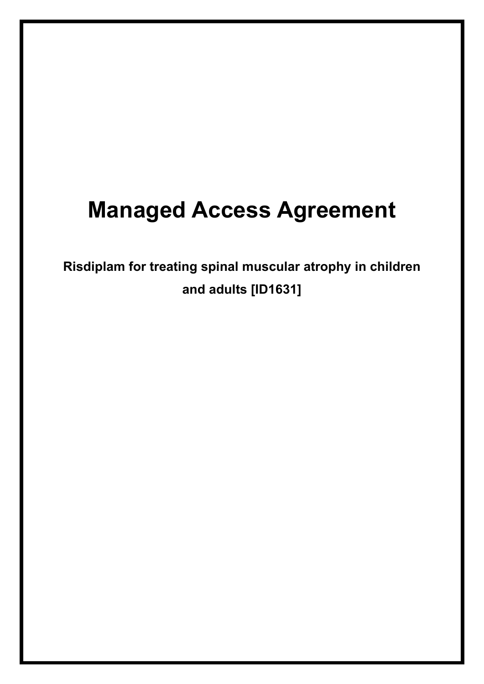# **Managed Access Agreement**

**Risdiplam for treating spinal muscular atrophy in children and adults [ID1631]**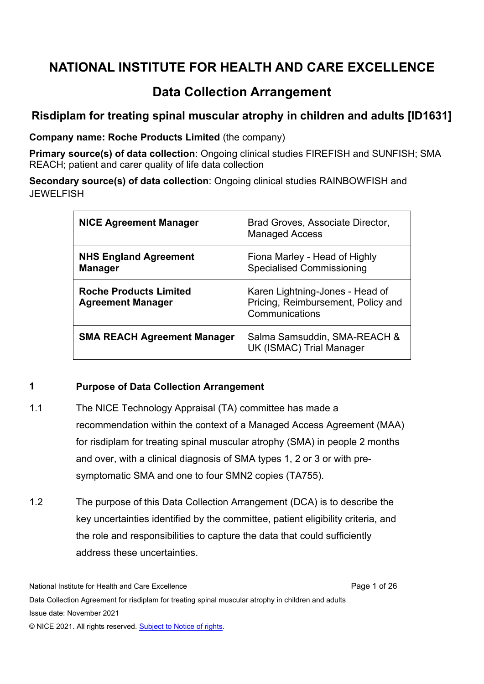# **NATIONAL INSTITUTE FOR HEALTH AND CARE EXCELLENCE**

# **Data Collection Arrangement**

# **Risdiplam for treating spinal muscular atrophy in children and adults [ID1631]**

**Company name: Roche Products Limited** (the company)

**Primary source(s) of data collection**: Ongoing clinical studies FIREFISH and SUNFISH; SMA REACH; patient and carer quality of life data collection

**Secondary source(s) of data collection**: Ongoing clinical studies RAINBOWFISH and **JEWELFISH** 

| <b>NICE Agreement Manager</b>                             | Brad Groves, Associate Director,<br><b>Managed Access</b>                               |
|-----------------------------------------------------------|-----------------------------------------------------------------------------------------|
| <b>NHS England Agreement</b><br><b>Manager</b>            | Fiona Marley - Head of Highly<br><b>Specialised Commissioning</b>                       |
| <b>Roche Products Limited</b><br><b>Agreement Manager</b> | Karen Lightning-Jones - Head of<br>Pricing, Reimbursement, Policy and<br>Communications |
| <b>SMA REACH Agreement Manager</b>                        | Salma Samsuddin, SMA-REACH &<br>UK (ISMAC) Trial Manager                                |

#### **1 Purpose of Data Collection Arrangement**

- 1.1 The NICE Technology Appraisal (TA) committee has made a recommendation within the context of a Managed Access Agreement (MAA) for risdiplam for treating spinal muscular atrophy (SMA) in people 2 months and over, with a clinical diagnosis of SMA types 1, 2 or 3 or with presymptomatic SMA and one to four SMN2 copies (TA755).
- 1.2 The purpose of this Data Collection Arrangement (DCA) is to describe the key uncertainties identified by the committee, patient eligibility criteria, and the role and responsibilities to capture the data that could sufficiently address these uncertainties.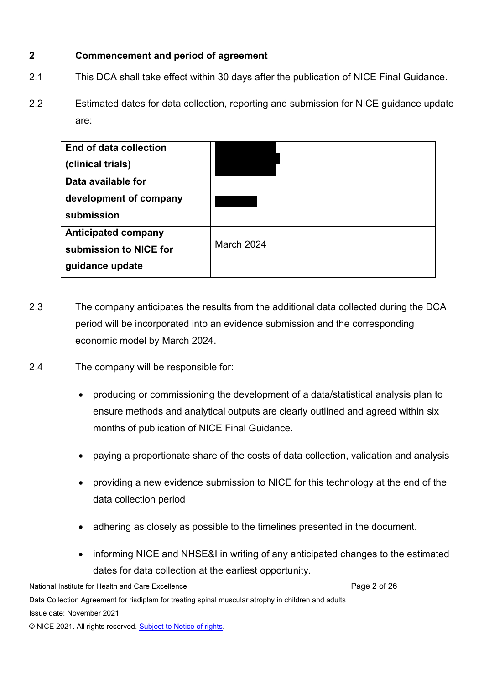# **2 Commencement and period of agreement**

- 2.1 This DCA shall take effect within 30 days after the publication of NICE Final Guidance.
- 2.2 Estimated dates for data collection, reporting and submission for NICE guidance update are:

| <b>End of data collection</b> |            |
|-------------------------------|------------|
| (clinical trials)             |            |
| Data available for            |            |
| development of company        |            |
| submission                    |            |
| <b>Anticipated company</b>    |            |
| submission to NICE for        | March 2024 |
| guidance update               |            |

- 2.3 The company anticipates the results from the additional data collected during the DCA period will be incorporated into an evidence submission and the corresponding economic model by March 2024.
- 2.4 The company will be responsible for:
	- producing or commissioning the development of a data/statistical analysis plan to ensure methods and analytical outputs are clearly outlined and agreed within six months of publication of NICE Final Guidance.
	- paying a proportionate share of the costs of data collection, validation and analysis
	- providing a new evidence submission to NICE for this technology at the end of the data collection period
	- adhering as closely as possible to the timelines presented in the document.
	- informing NICE and NHSE&I in writing of any anticipated changes to the estimated dates for data collection at the earliest opportunity.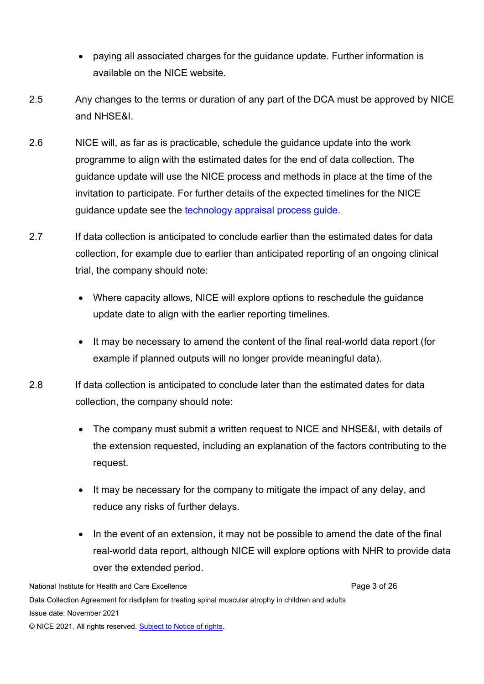- paying all associated charges for the guidance update. Further information is available on the [NICE website.](https://www.nice.org.uk/about/what-we-do/our-programmes/nice-guidance/nice-technology-appraisal-guidance/charging/procedure-ta)
- 2.5 Any changes to the terms or duration of any part of the DCA must be approved by NICE and NHSE&I.
- 2.6 NICE will, as far as is practicable, schedule the guidance update into the work programme to align with the estimated dates for the end of data collection. The guidance update will use the NICE process and methods in place at the time of the invitation to participate. For further details of the expected timelines for the NICE guidance update see the [technology appraisal process guide.](https://www.nice.org.uk/process/pmg19/chapter/acknowledgements)
- 2.7 If data collection is anticipated to conclude earlier than the estimated dates for data collection, for example due to earlier than anticipated reporting of an ongoing clinical trial, the company should note:
	- Where capacity allows, NICE will explore options to reschedule the guidance update date to align with the earlier reporting timelines.
	- It may be necessary to amend the content of the final real-world data report (for example if planned outputs will no longer provide meaningful data).
- 2.8 If data collection is anticipated to conclude later than the estimated dates for data collection, the company should note:
	- The company must submit a written request to NICE and NHSE&I, with details of the extension requested, including an explanation of the factors contributing to the request.
	- It may be necessary for the company to mitigate the impact of any delay, and reduce any risks of further delays.
	- In the event of an extension, it may not be possible to amend the date of the final real-world data report, although NICE will explore options with NHR to provide data over the extended period.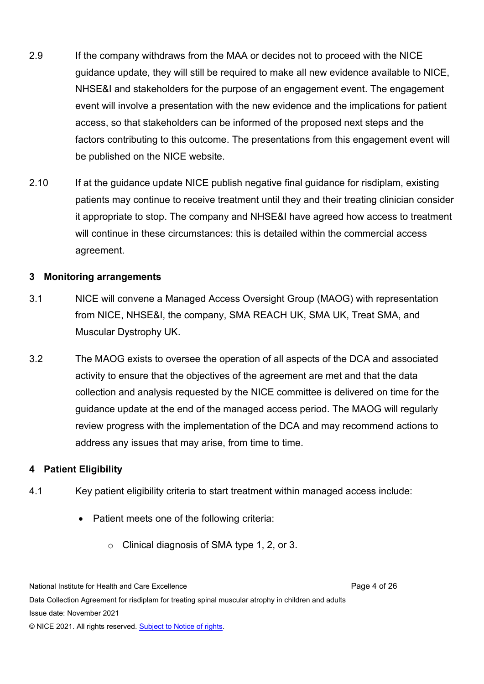- 2.9 If the company withdraws from the MAA or decides not to proceed with the NICE guidance update, they will still be required to make all new evidence available to NICE, NHSE&I and stakeholders for the purpose of an engagement event. The engagement event will involve a presentation with the new evidence and the implications for patient access, so that stakeholders can be informed of the proposed next steps and the factors contributing to this outcome. The presentations from this engagement event will be published on the NICE website.
- 2.10 If at the guidance update NICE publish negative final guidance for risdiplam, existing patients may continue to receive treatment until they and their treating clinician consider it appropriate to stop. The company and NHSE&I have agreed how access to treatment will continue in these circumstances: this is detailed within the commercial access agreement.

#### **3 Monitoring arrangements**

- 3.1 NICE will convene a Managed Access Oversight Group (MAOG) with representation from NICE, NHSE&I, the company, SMA REACH UK, SMA UK, Treat SMA, and Muscular Dystrophy UK.
- 3.2 The MAOG exists to oversee the operation of all aspects of the DCA and associated activity to ensure that the objectives of the agreement are met and that the data collection and analysis requested by the NICE committee is delivered on time for the guidance update at the end of the managed access period. The MAOG will regularly review progress with the implementation of the DCA and may recommend actions to address any issues that may arise, from time to time.

#### **4 Patient Eligibility**

- 4.1 Key patient eligibility criteria to start treatment within managed access include:
	- Patient meets one of the following criteria:
		- o Clinical diagnosis of SMA type 1, 2, or 3.

National Institute for Health and Care Excellence **Page 4 of 26** Page 4 of 26 Data Collection Agreement for risdiplam for treating spinal muscular atrophy in children and adults Issue date: November 2021 © NICE 2021. All rights reserved. [Subject to Notice of rights.](https://www.nice.org.uk/terms-and-conditions#notice-of-rights)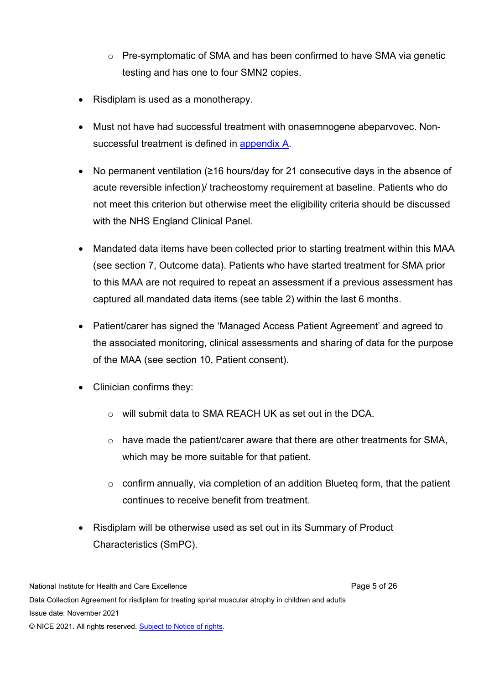- o Pre-symptomatic of SMA and has been confirmed to have SMA via genetic testing and has one to four SMN2 copies.
- Risdiplam is used as a monotherapy.
- Must not have had successful treatment with onasemnogene abeparvovec. Nonsuccessful treatment is defined in [appendix A](https://www.nice.org.uk/guidance/ta755/resources/appendix-a-using-other-treatments-after-onasemnogene-pdf-10897406894).
- No permanent ventilation (≥16 hours/day for 21 consecutive days in the absence of acute reversible infection)/ tracheostomy requirement at baseline. Patients who do not meet this criterion but otherwise meet the eligibility criteria should be discussed with the NHS England Clinical Panel.
- Mandated data items have been collected prior to starting treatment within this MAA (see section 7, Outcome data). Patients who have started treatment for SMA prior to this MAA are not required to repeat an assessment if a previous assessment has captured all mandated data items (see table 2) within the last 6 months.
- Patient/carer has signed the 'Managed Access Patient Agreement' and agreed to the associated monitoring, clinical assessments and sharing of data for the purpose of the MAA (see section 10, Patient consent).
- Clinician confirms they:
	- o will submit data to SMA REACH UK as set out in the DCA.
	- $\circ$  have made the patient/carer aware that there are other treatments for SMA, which may be more suitable for that patient.
	- $\circ$  confirm annually, via completion of an addition Blueteq form, that the patient continues to receive benefit from treatment.
- Risdiplam will be otherwise used as set out in its Summary of Product Characteristics (SmPC).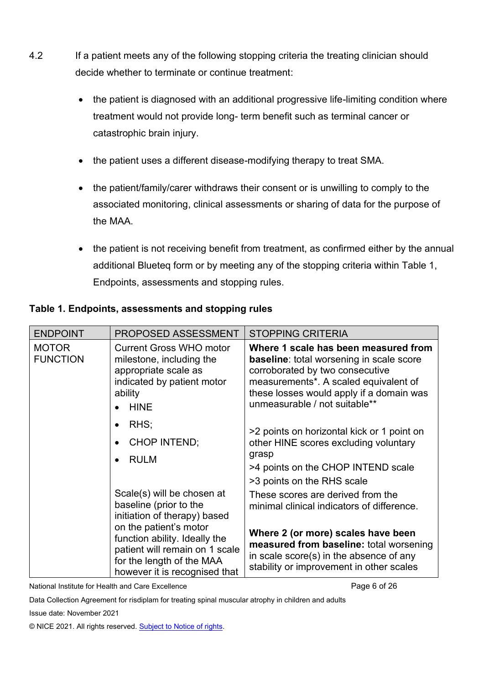- 4.2 If a patient meets any of the following stopping criteria the treating clinician should decide whether to terminate or continue treatment:
	- the patient is diagnosed with an additional progressive life-limiting condition where treatment would not provide long- term benefit such as terminal cancer or catastrophic brain injury.
	- the patient uses a different disease-modifying therapy to treat SMA.
	- the patient/family/carer withdraws their consent or is unwilling to comply to the associated monitoring, clinical assessments or sharing of data for the purpose of the MAA.
	- the patient is not receiving benefit from treatment, as confirmed either by the annual additional Blueteq form or by meeting any of the stopping criteria within Table 1, Endpoints, assessments and stopping rules.

| <b>ENDPOINT</b>                                                                                                                                         | <b>PROPOSED ASSESSMENT</b>                                                                                                                 | <b>STOPPING CRITERIA</b>                                                                                                                                                                                                                         |
|---------------------------------------------------------------------------------------------------------------------------------------------------------|--------------------------------------------------------------------------------------------------------------------------------------------|--------------------------------------------------------------------------------------------------------------------------------------------------------------------------------------------------------------------------------------------------|
| <b>MOTOR</b><br><b>FUNCTION</b>                                                                                                                         | <b>Current Gross WHO motor</b><br>milestone, including the<br>appropriate scale as<br>indicated by patient motor<br>ability<br><b>HINE</b> | Where 1 scale has been measured from<br><b>baseline:</b> total worsening in scale score<br>corroborated by two consecutive<br>measurements*. A scaled equivalent of<br>these losses would apply if a domain was<br>unmeasurable / not suitable** |
| $\bullet$                                                                                                                                               | RHS;<br><b>CHOP INTEND;</b><br><b>RULM</b>                                                                                                 | >2 points on horizontal kick or 1 point on<br>other HINE scores excluding voluntary<br>grasp<br>>4 points on the CHOP INTEND scale<br>>3 points on the RHS scale                                                                                 |
|                                                                                                                                                         | Scale(s) will be chosen at<br>baseline (prior to the<br>initiation of therapy) based                                                       | These scores are derived from the<br>minimal clinical indicators of difference.                                                                                                                                                                  |
| on the patient's motor<br>function ability. Ideally the<br>patient will remain on 1 scale<br>for the length of the MAA<br>however it is recognised that |                                                                                                                                            | Where 2 (or more) scales have been<br>measured from baseline: total worsening<br>in scale score(s) in the absence of any<br>stability or improvement in other scales                                                                             |

# **Table 1. Endpoints, assessments and stopping rules**

National Institute for Health and Care Excellence **Page 6 of 26** Page 6 of 26

Data Collection Agreement for risdiplam for treating spinal muscular atrophy in children and adults

Issue date: November 2021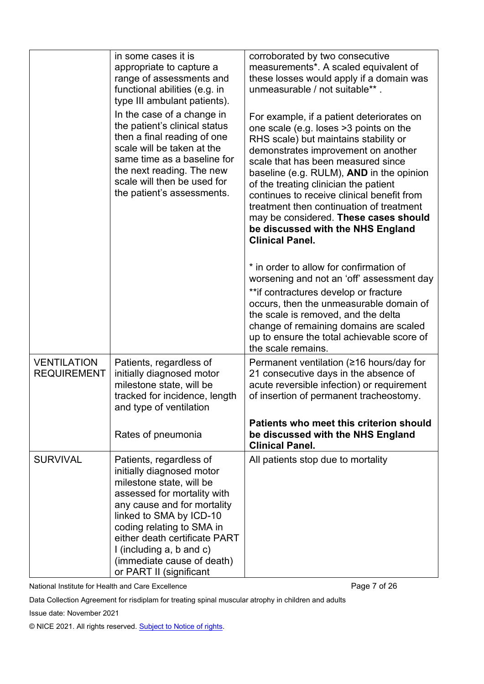|                                          | in some cases it is<br>appropriate to capture a<br>range of assessments and<br>functional abilities (e.g. in<br>type III ambulant patients).                                                                                                                                                                                      | corroborated by two consecutive<br>measurements*. A scaled equivalent of<br>these losses would apply if a domain was<br>unmeasurable / not suitable**.                                                                                                                                                                                                                                                                                                                                           |
|------------------------------------------|-----------------------------------------------------------------------------------------------------------------------------------------------------------------------------------------------------------------------------------------------------------------------------------------------------------------------------------|--------------------------------------------------------------------------------------------------------------------------------------------------------------------------------------------------------------------------------------------------------------------------------------------------------------------------------------------------------------------------------------------------------------------------------------------------------------------------------------------------|
|                                          | In the case of a change in<br>the patient's clinical status<br>then a final reading of one<br>scale will be taken at the<br>same time as a baseline for<br>the next reading. The new<br>scale will then be used for<br>the patient's assessments.                                                                                 | For example, if a patient deteriorates on<br>one scale (e.g. loses >3 points on the<br>RHS scale) but maintains stability or<br>demonstrates improvement on another<br>scale that has been measured since<br>baseline (e.g. RULM), AND in the opinion<br>of the treating clinician the patient<br>continues to receive clinical benefit from<br>treatment then continuation of treatment<br>may be considered. These cases should<br>be discussed with the NHS England<br><b>Clinical Panel.</b> |
|                                          |                                                                                                                                                                                                                                                                                                                                   | * in order to allow for confirmation of<br>worsening and not an 'off' assessment day<br>** if contractures develop or fracture<br>occurs, then the unmeasurable domain of<br>the scale is removed, and the delta<br>change of remaining domains are scaled<br>up to ensure the total achievable score of<br>the scale remains.                                                                                                                                                                   |
| <b>VENTILATION</b><br><b>REQUIREMENT</b> | Patients, regardless of<br>initially diagnosed motor<br>milestone state, will be<br>tracked for incidence, length<br>and type of ventilation                                                                                                                                                                                      | Permanent ventilation (≥16 hours/day for<br>21 consecutive days in the absence of<br>acute reversible infection) or requirement<br>of insertion of permanent tracheostomy.                                                                                                                                                                                                                                                                                                                       |
|                                          | Rates of pneumonia                                                                                                                                                                                                                                                                                                                | <b>Patients who meet this criterion should</b><br>be discussed with the NHS England<br><b>Clinical Panel.</b>                                                                                                                                                                                                                                                                                                                                                                                    |
| <b>SURVIVAL</b>                          | Patients, regardless of<br>initially diagnosed motor<br>milestone state, will be<br>assessed for mortality with<br>any cause and for mortality<br>linked to SMA by ICD-10<br>coding relating to SMA in<br>either death certificate PART<br>I (including $a, b$ and $c$ )<br>(immediate cause of death)<br>or PART II (significant | All patients stop due to mortality                                                                                                                                                                                                                                                                                                                                                                                                                                                               |

National Institute for Health and Care Excellence **Page 7 of 26** Page 7 of 26

Data Collection Agreement for risdiplam for treating spinal muscular atrophy in children and adults

Issue date: November 2021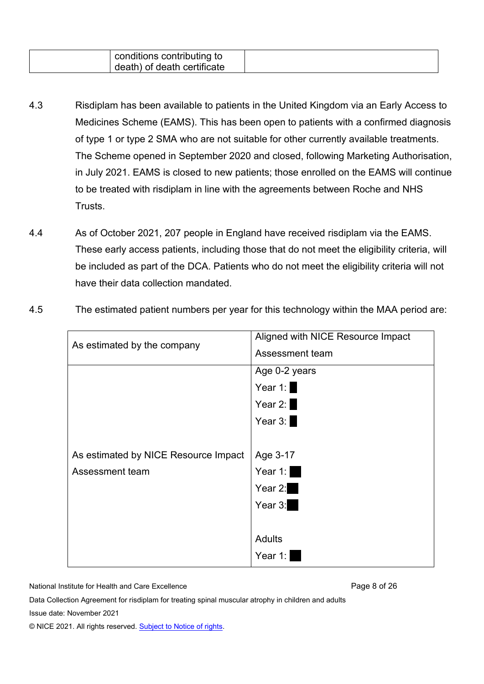| conditions contributing to<br>death) of death certificate |  |  |
|-----------------------------------------------------------|--|--|
|-----------------------------------------------------------|--|--|

- 4.3 Risdiplam has been available to patients in the United Kingdom via an Early Access to Medicines Scheme (EAMS). This has been open to patients with a confirmed diagnosis of type 1 or type 2 SMA who are not suitable for other currently available treatments. The Scheme opened in September 2020 and closed, following Marketing Authorisation, in July 2021. EAMS is closed to new patients; those enrolled on the EAMS will continue to be treated with risdiplam in line with the agreements between Roche and NHS Trusts.
- 4.4 As of October 2021, 207 people in England have received risdiplam via the EAMS. These early access patients, including those that do not meet the eligibility criteria, will be included as part of the DCA. Patients who do not meet the eligibility criteria will not have their data collection mandated.
- 4.5 The estimated patient numbers per year for this technology within the MAA period are:

| As estimated by the company          | Aligned with NICE Resource Impact |  |  |  |  |
|--------------------------------------|-----------------------------------|--|--|--|--|
|                                      | Assessment team                   |  |  |  |  |
|                                      | Age 0-2 years                     |  |  |  |  |
|                                      | Year 1: $\blacksquare$            |  |  |  |  |
|                                      | Year $2:$                         |  |  |  |  |
|                                      | Year 3:                           |  |  |  |  |
|                                      |                                   |  |  |  |  |
| As estimated by NICE Resource Impact | Age 3-17                          |  |  |  |  |
| Assessment team                      | Year 1:                           |  |  |  |  |
|                                      | Year 2: $\blacksquare$            |  |  |  |  |
|                                      | Year 3:                           |  |  |  |  |
|                                      |                                   |  |  |  |  |
|                                      | <b>Adults</b>                     |  |  |  |  |
|                                      | Year 1:                           |  |  |  |  |

National Institute for Health and Care Excellence **Page 8 of 26** and Care Page 8 of 26

Data Collection Agreement for risdiplam for treating spinal muscular atrophy in children and adults

Issue date: November 2021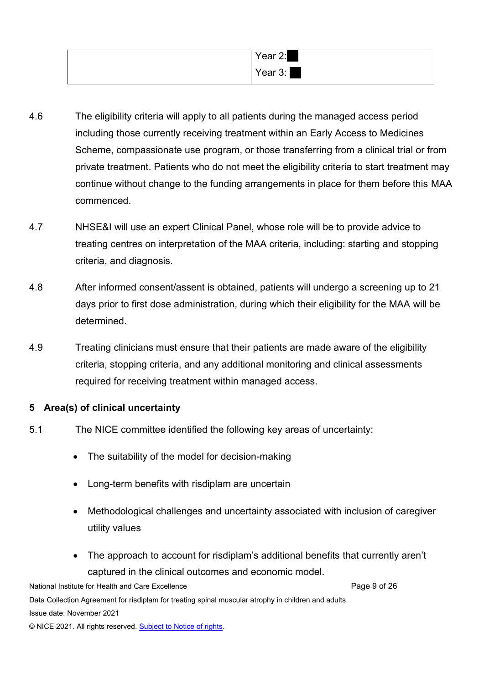| Year 2: |
|---------|
| Year 3: |

- 4.6 The eligibility criteria will apply to all patients during the managed access period including those currently receiving treatment within an Early Access to Medicines Scheme, compassionate use program, or those transferring from a clinical trial or from private treatment. Patients who do not meet the eligibility criteria to start treatment may continue without change to the funding arrangements in place for them before this MAA commenced.
- 4.7 NHSE&I will use an expert Clinical Panel, whose role will be to provide advice to treating centres on interpretation of the MAA criteria, including: starting and stopping criteria, and diagnosis.
- 4.8 After informed consent/assent is obtained, patients will undergo a screening up to 21 days prior to first dose administration, during which their eligibility for the MAA will be determined.
- 4.9 Treating clinicians must ensure that their patients are made aware of the eligibility criteria, stopping criteria, and any additional monitoring and clinical assessments required for receiving treatment within managed access.

### **5 Area(s) of clinical uncertainty**

- 5.1 The NICE committee identified the following key areas of uncertainty:
	- The suitability of the model for decision-making
	- Long-term benefits with risdiplam are uncertain
	- Methodological challenges and uncertainty associated with inclusion of caregiver utility values
	- The approach to account for risdiplam's additional benefits that currently aren't captured in the clinical outcomes and economic model.

National Institute for Health and Care Excellence **Page 9 of 26** and Care Page 9 of 26 Data Collection Agreement for risdiplam for treating spinal muscular atrophy in children and adults Issue date: November 2021 © NICE 2021. All rights reserved. [Subject to Notice of rights.](https://www.nice.org.uk/terms-and-conditions#notice-of-rights)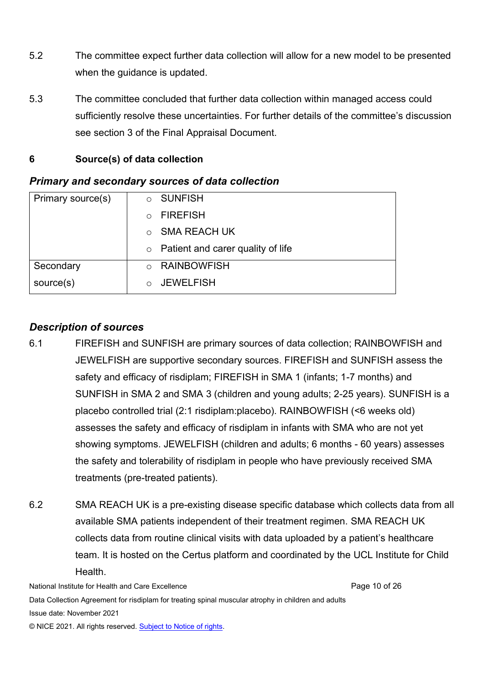- 5.2 The committee expect further data collection will allow for a new model to be presented when the guidance is updated.
- 5.3 The committee concluded that further data collection within managed access could sufficiently resolve these uncertainties. For further details of the committee's discussion see section 3 of the Final Appraisal Document.

# **6 Source(s) of data collection**

| Primary source(s) | <b>O</b> SUNFISH                          |
|-------------------|-------------------------------------------|
|                   | <b>FIREFISH</b><br>$\cap$                 |
|                   | <b>SMA REACH UK</b><br>$\cap$             |
|                   | $\circ$ Patient and carer quality of life |
| Secondary         | <b>RAINBOWFISH</b>                        |
| source(s)         | <b>JEWELFISH</b>                          |

# *Primary and secondary sources of data collection*

# *Description of sources*

- 6.1 FIREFISH and SUNFISH are primary sources of data collection; RAINBOWFISH and JEWELFISH are supportive secondary sources. FIREFISH and SUNFISH assess the safety and efficacy of risdiplam; FIREFISH in SMA 1 (infants; 1-7 months) and SUNFISH in SMA 2 and SMA 3 (children and young adults; 2-25 years). SUNFISH is a placebo controlled trial (2:1 risdiplam:placebo). RAINBOWFISH (<6 weeks old) assesses the safety and efficacy of risdiplam in infants with SMA who are not yet showing symptoms. JEWELFISH (children and adults; 6 months - 60 years) assesses the safety and tolerability of risdiplam in people who have previously received SMA treatments (pre-treated patients).
- 6.2 SMA REACH UK is a pre-existing disease specific database which collects data from all available SMA patients independent of their treatment regimen. SMA REACH UK collects data from routine clinical visits with data uploaded by a patient's healthcare team. It is hosted on the Certus platform and coordinated by the UCL Institute for Child Health.

National Institute for Health and Care Excellence **Page 10 of 26** and 26 and 26 and 26 and 26 and 26 and 26 and 26 Data Collection Agreement for risdiplam for treating spinal muscular atrophy in children and adults Issue date: November 2021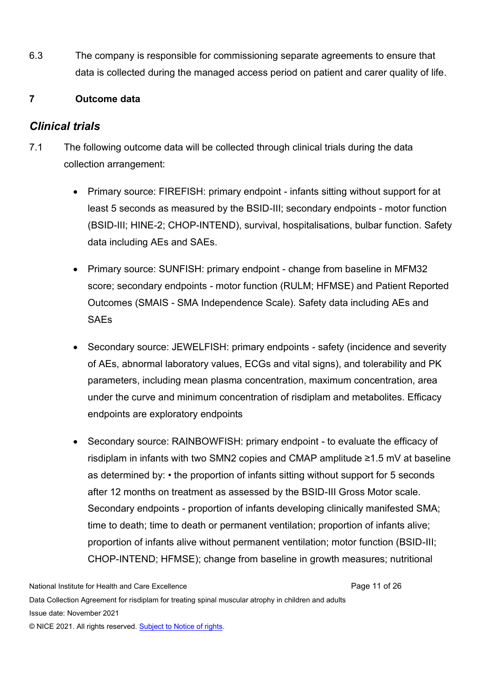6.3 The company is responsible for commissioning separate agreements to ensure that data is collected during the managed access period on patient and carer quality of life.

# **7 Outcome data**

# *Clinical trials*

- 7.1 The following outcome data will be collected through clinical trials during the data collection arrangement:
	- Primary source: FIREFISH: primary endpoint infants sitting without support for at least 5 seconds as measured by the BSID-III; secondary endpoints - motor function (BSID-III; HINE-2; CHOP-INTEND), survival, hospitalisations, bulbar function. Safety data including AEs and SAEs.
	- Primary source: SUNFISH: primary endpoint change from baseline in MFM32 score; secondary endpoints - motor function (RULM; HFMSE) and Patient Reported Outcomes (SMAIS - SMA Independence Scale). Safety data including AEs and **SAEs**
	- Secondary source: JEWELFISH: primary endpoints safety (incidence and severity of AEs, abnormal laboratory values, ECGs and vital signs), and tolerability and PK parameters, including mean plasma concentration, maximum concentration, area under the curve and minimum concentration of risdiplam and metabolites. Efficacy endpoints are exploratory endpoints
	- Secondary source: RAINBOWFISH: primary endpoint to evaluate the efficacy of risdiplam in infants with two SMN2 copies and CMAP amplitude ≥1.5 mV at baseline as determined by: • the proportion of infants sitting without support for 5 seconds after 12 months on treatment as assessed by the BSID-III Gross Motor scale. Secondary endpoints - proportion of infants developing clinically manifested SMA; time to death; time to death or permanent ventilation; proportion of infants alive; proportion of infants alive without permanent ventilation; motor function (BSID-III; CHOP-INTEND; HFMSE); change from baseline in growth measures; nutritional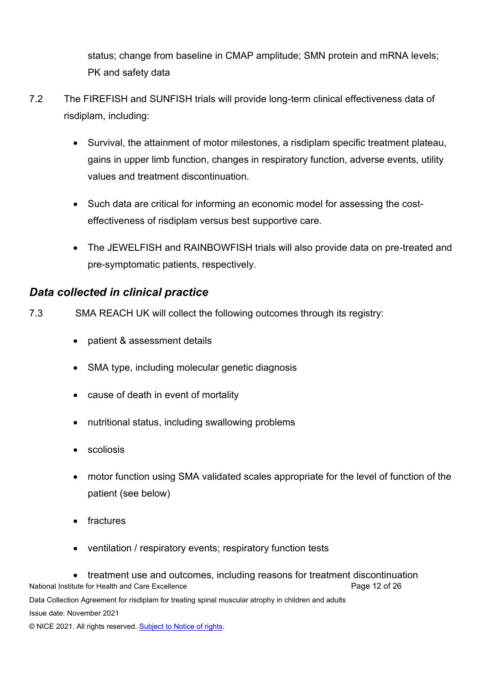status; change from baseline in CMAP amplitude; SMN protein and mRNA levels; PK and safety data

- 7.2 The FIREFISH and SUNFISH trials will provide long-term clinical effectiveness data of risdiplam, including:
	- Survival, the attainment of motor milestones, a risdiplam specific treatment plateau, gains in upper limb function, changes in respiratory function, adverse events, utility values and treatment discontinuation.
	- Such data are critical for informing an economic model for assessing the costeffectiveness of risdiplam versus best supportive care.
	- The JEWELFISH and RAINBOWFISH trials will also provide data on pre-treated and pre-symptomatic patients, respectively.

# *Data collected in clinical practice*

- 7.3 SMA REACH UK will collect the following outcomes through its registry:
	- patient & assessment details
	- SMA type, including molecular genetic diagnosis
	- cause of death in event of mortality
	- nutritional status, including swallowing problems
	- scoliosis
	- motor function using SMA validated scales appropriate for the level of function of the patient (see below)
	- fractures
	- ventilation / respiratory events; respiratory function tests

National Institute for Health and Care Excellence **Page 12 of 26** Page 12 of 26 Data Collection Agreement for risdiplam for treating spinal muscular atrophy in children and adults Issue date: November 2021 © NICE 2021. All rights reserved. [Subject to Notice of rights.](https://www.nice.org.uk/terms-and-conditions#notice-of-rights) • treatment use and outcomes, including reasons for treatment discontinuation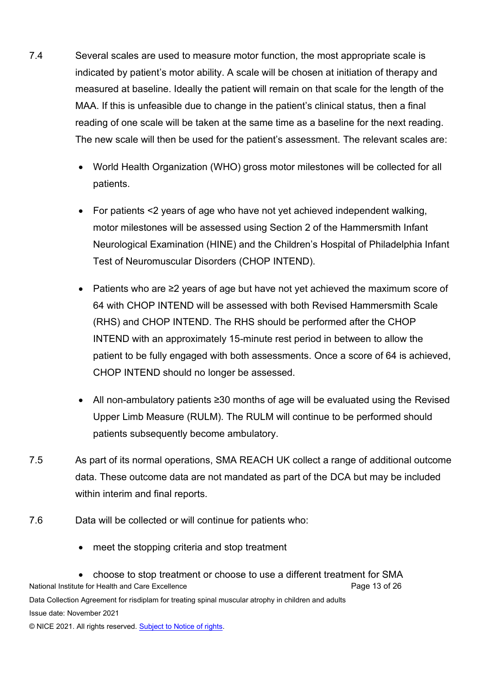- 7.4 Several scales are used to measure motor function, the most appropriate scale is indicated by patient's motor ability. A scale will be chosen at initiation of therapy and measured at baseline. Ideally the patient will remain on that scale for the length of the MAA. If this is unfeasible due to change in the patient's clinical status, then a final reading of one scale will be taken at the same time as a baseline for the next reading. The new scale will then be used for the patient's assessment. The relevant scales are:
	- World Health Organization (WHO) gross motor milestones will be collected for all patients.
	- For patients <2 years of age who have not yet achieved independent walking, motor milestones will be assessed using Section 2 of the Hammersmith Infant Neurological Examination (HINE) and the Children's Hospital of Philadelphia Infant Test of Neuromuscular Disorders (CHOP INTEND).
	- Patients who are ≥2 years of age but have not yet achieved the maximum score of 64 with CHOP INTEND will be assessed with both Revised Hammersmith Scale (RHS) and CHOP INTEND. The RHS should be performed after the CHOP INTEND with an approximately 15-minute rest period in between to allow the patient to be fully engaged with both assessments. Once a score of 64 is achieved, CHOP INTEND should no longer be assessed.
	- All non-ambulatory patients ≥30 months of age will be evaluated using the Revised Upper Limb Measure (RULM). The RULM will continue to be performed should patients subsequently become ambulatory.
- 7.5 As part of its normal operations, SMA REACH UK collect a range of additional outcome data. These outcome data are not mandated as part of the DCA but may be included within interim and final reports.
- 7.6 Data will be collected or will continue for patients who:
	- meet the stopping criteria and stop treatment

National Institute for Health and Care Excellence **Page 13 of 26** Page 13 of 26 Data Collection Agreement for risdiplam for treating spinal muscular atrophy in children and adults Issue date: November 2021 © NICE 2021. All rights reserved. [Subject to Notice of rights.](https://www.nice.org.uk/terms-and-conditions#notice-of-rights) • choose to stop treatment or choose to use a different treatment for SMA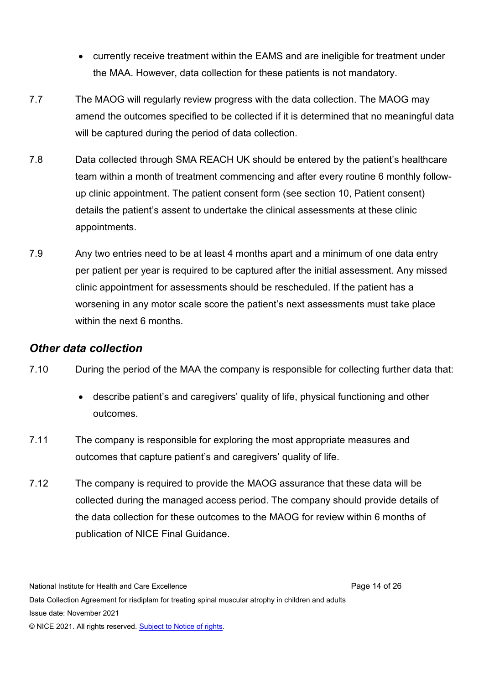- currently receive treatment within the EAMS and are ineligible for treatment under the MAA. However, data collection for these patients is not mandatory.
- 7.7 The MAOG will regularly review progress with the data collection. The MAOG may amend the outcomes specified to be collected if it is determined that no meaningful data will be captured during the period of data collection.
- 7.8 Data collected through SMA REACH UK should be entered by the patient's healthcare team within a month of treatment commencing and after every routine 6 monthly followup clinic appointment. The patient consent form (see section 10, Patient consent) details the patient's assent to undertake the clinical assessments at these clinic appointments.
- 7.9 Any two entries need to be at least 4 months apart and a minimum of one data entry per patient per year is required to be captured after the initial assessment. Any missed clinic appointment for assessments should be rescheduled. If the patient has a worsening in any motor scale score the patient's next assessments must take place within the next 6 months.

# *Other data collection*

- 7.10 During the period of the MAA the company is responsible for collecting further data that:
	- describe patient's and caregivers' quality of life, physical functioning and other outcomes.
- 7.11 The company is responsible for exploring the most appropriate measures and outcomes that capture patient's and caregivers' quality of life.
- 7.12 The company is required to provide the MAOG assurance that these data will be collected during the managed access period. The company should provide details of the data collection for these outcomes to the MAOG for review within 6 months of publication of NICE Final Guidance.

National Institute for Health and Care Excellence **Page 14 of 26** and 26 and 26 and 26 and 26 and 26 and 26 and 26 Data Collection Agreement for risdiplam for treating spinal muscular atrophy in children and adults Issue date: November 2021 © NICE 2021. All rights reserved. [Subject to Notice of rights.](https://www.nice.org.uk/terms-and-conditions#notice-of-rights)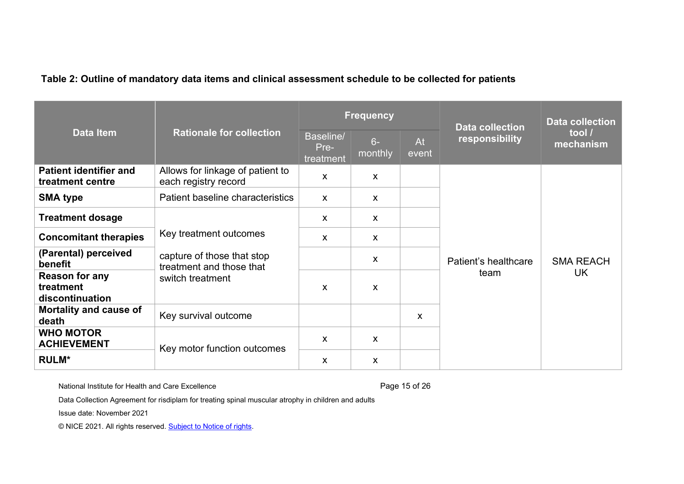|                                                       |                                                                            | <b>Frequency</b>               |                           |             | <b>Data collection</b>       | <b>Data collection</b>        |
|-------------------------------------------------------|----------------------------------------------------------------------------|--------------------------------|---------------------------|-------------|------------------------------|-------------------------------|
| <b>Data Item</b>                                      | <b>Rationale for collection</b>                                            | Baseline/<br>Pre-<br>treatment | $6-$<br>monthly           | At<br>event | responsibility               | tool /<br>mechanism           |
| <b>Patient identifier and</b><br>treatment centre     | Allows for linkage of patient to<br>each registry record                   | $\mathsf{x}$                   | $\mathsf{x}$              |             |                              |                               |
| <b>SMA type</b>                                       | Patient baseline characteristics                                           | $\mathsf{x}$                   | X                         |             |                              |                               |
| <b>Treatment dosage</b>                               |                                                                            | $\boldsymbol{\mathsf{X}}$      | $\mathsf{x}$              |             |                              |                               |
| <b>Concomitant therapies</b>                          | Key treatment outcomes                                                     | X                              | X                         |             |                              |                               |
| (Parental) perceived<br>benefit                       | capture of those that stop<br>treatment and those that<br>switch treatment |                                | $\boldsymbol{\mathsf{X}}$ |             | Patient's healthcare<br>team | <b>SMA REACH</b><br><b>UK</b> |
| <b>Reason for any</b><br>treatment<br>discontinuation |                                                                            | $\mathsf{x}$                   | $\boldsymbol{\mathsf{X}}$ |             |                              |                               |
| Mortality and cause of<br>death                       | Key survival outcome                                                       |                                |                           | X           |                              |                               |
| <b>WHO MOTOR</b><br><b>ACHIEVEMENT</b>                |                                                                            | X                              | X                         |             |                              |                               |
| <b>RULM*</b>                                          | Key motor function outcomes                                                | X                              | X                         |             |                              |                               |

#### **Table 2: Outline of mandatory data items and clinical assessment schedule to be collected for patients**

National Institute for Health and Care Excellence **Page 15** of 26

Data Collection Agreement for risdiplam for treating spinal muscular atrophy in children and adults

Issue date: November 2021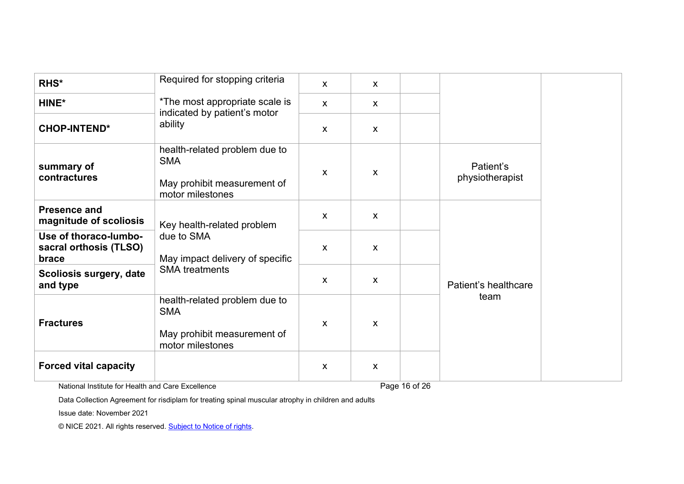| RHS*                                                     | Required for stopping criteria<br>*The most appropriate scale is<br>indicated by patient's motor<br>ability | $\mathsf{x}$ | X            |                              |
|----------------------------------------------------------|-------------------------------------------------------------------------------------------------------------|--------------|--------------|------------------------------|
| HINE*                                                    |                                                                                                             | $\mathsf{x}$ | X            |                              |
| <b>CHOP-INTEND*</b>                                      |                                                                                                             | $\mathsf{X}$ | X            |                              |
| summary of<br>contractures                               | health-related problem due to<br><b>SMA</b><br>May prohibit measurement of<br>motor milestones              | $\mathsf{X}$ | X            | Patient's<br>physiotherapist |
| <b>Presence and</b><br>magnitude of scoliosis            | Key health-related problem<br>due to SMA<br>May impact delivery of specific<br><b>SMA</b> treatments        | $\mathsf{x}$ | $\mathsf{x}$ |                              |
| Use of thoraco-lumbo-<br>sacral orthosis (TLSO)<br>brace |                                                                                                             | $\mathsf{X}$ | $\mathsf{x}$ |                              |
| <b>Scoliosis surgery, date</b><br>and type               |                                                                                                             | $\mathsf{X}$ | $\mathsf{x}$ | Patient's healthcare         |
| <b>Fractures</b>                                         | health-related problem due to<br><b>SMA</b><br>May prohibit measurement of<br>motor milestones              | X            | X            | team                         |
| <b>Forced vital capacity</b>                             |                                                                                                             | X            | X            |                              |

National Institute for Health and Care Excellence Page 16 of 26

Data Collection Agreement for risdiplam for treating spinal muscular atrophy in children and adults

Issue date: November 2021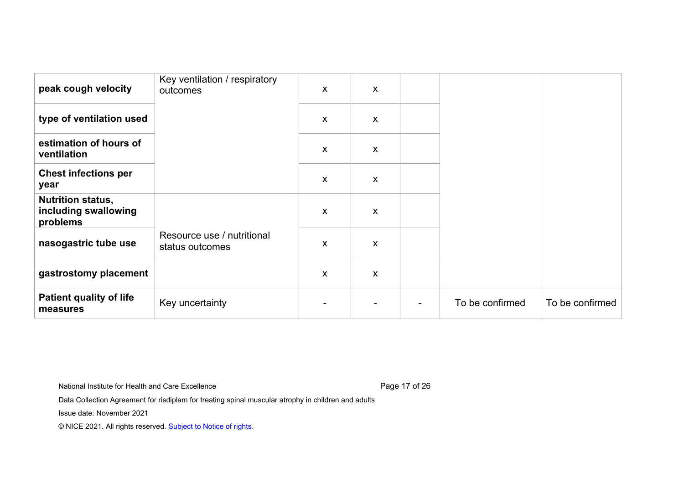| peak cough velocity                                          | Key ventilation / respiratory<br>outcomes     | X                         | X                         |                 |                 |
|--------------------------------------------------------------|-----------------------------------------------|---------------------------|---------------------------|-----------------|-----------------|
| type of ventilation used                                     |                                               | $\mathsf{X}$              | X                         |                 |                 |
| estimation of hours of<br>ventilation                        |                                               | $\boldsymbol{\mathsf{X}}$ | X                         |                 |                 |
| <b>Chest infections per</b><br>year                          |                                               | X                         | $\boldsymbol{\mathsf{X}}$ |                 |                 |
| <b>Nutrition status,</b><br>including swallowing<br>problems |                                               | X                         | X                         |                 |                 |
| nasogastric tube use                                         | Resource use / nutritional<br>status outcomes | X                         | X                         |                 |                 |
| gastrostomy placement                                        |                                               | X                         | X                         |                 |                 |
| <b>Patient quality of life</b><br>measures                   | Key uncertainty                               |                           | $\overline{\phantom{0}}$  | To be confirmed | To be confirmed |

National Institute for Health and Care Excellence **Page 17 of 26** Page 17 of 26

Data Collection Agreement for risdiplam for treating spinal muscular atrophy in children and adults

Issue date: November 2021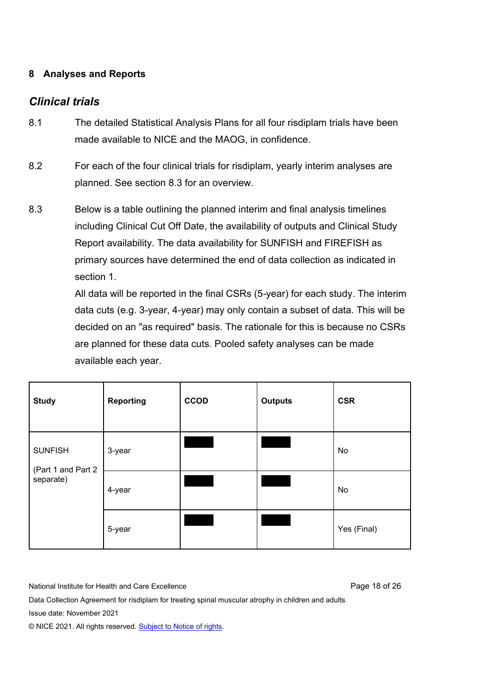## **8 Analyses and Reports**

# *Clinical trials*

- 8.1 The detailed Statistical Analysis Plans for all four risdiplam trials have been made available to NICE and the MAOG, in confidence.
- 8.2 For each of the four clinical trials for risdiplam, yearly interim analyses are planned. See section 8.3 for an overview.
- 8.3 Below is a table outlining the planned interim and final analysis timelines including Clinical Cut Off Date, the availability of outputs and Clinical Study Report availability. The data availability for SUNFISH and FIREFISH as primary sources have determined the end of data collection as indicated in section 1.

All data will be reported in the final CSRs (5-year) for each study. The interim data cuts (e.g. 3-year, 4-year) may only contain a subset of data. This will be decided on an "as required" basis. The rationale for this is because no CSRs are planned for these data cuts. Pooled safety analyses can be made available each year.

| <b>Study</b>                                      | <b>Reporting</b> | <b>CCOD</b> | <b>Outputs</b> | <b>CSR</b>  |
|---------------------------------------------------|------------------|-------------|----------------|-------------|
| <b>SUNFISH</b><br>(Part 1 and Part 2<br>separate) | 3-year           |             |                | No          |
|                                                   | 4-year           |             |                | No          |
|                                                   | 5-year           |             |                | Yes (Final) |

National Institute for Health and Care Excellence **Page 18 of 26** and 26 and 26 and 26 and 26 and 26 and 26 and 26

Data Collection Agreement for risdiplam for treating spinal muscular atrophy in children and adults Issue date: November 2021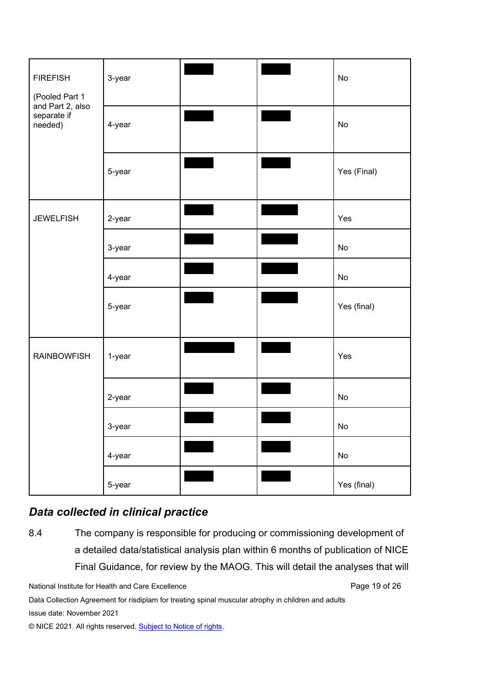| <b>FIREFISH</b><br>(Pooled Part 1<br>and Part 2, also<br>separate if<br>needed) | 3-year |                  | No          |
|---------------------------------------------------------------------------------|--------|------------------|-------------|
|                                                                                 | 4-year |                  | No          |
|                                                                                 | 5-year |                  | Yes (Final) |
| <b>JEWELFISH</b>                                                                | 2-year | <u>e de la p</u> | Yes         |
|                                                                                 | 3-year |                  | No          |
|                                                                                 | 4-year |                  | No          |
|                                                                                 | 5-year |                  | Yes (final) |
| <b>RAINBOWFISH</b>                                                              | 1-year |                  | Yes         |
|                                                                                 | 2-year |                  | No          |
|                                                                                 | 3-year |                  | No          |
|                                                                                 | 4-year |                  | No          |
|                                                                                 | 5-year |                  | Yes (final) |

# *Data collected in clinical practice*

8.4 The company is responsible for producing or commissioning development of a detailed data/statistical analysis plan within 6 months of publication of NICE Final Guidance, for review by the MAOG. This will detail the analyses that will

National Institute for Health and Care Excellence **Page 19 of 26** Page 19 of 26

Data Collection Agreement for risdiplam for treating spinal muscular atrophy in children and adults Issue date: November 2021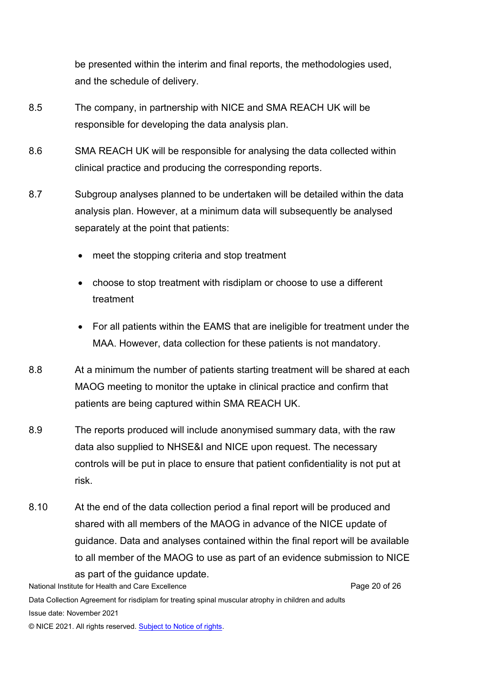be presented within the interim and final reports, the methodologies used, and the schedule of delivery.

- 8.5 The company, in partnership with NICE and SMA REACH UK will be responsible for developing the data analysis plan.
- 8.6 SMA REACH UK will be responsible for analysing the data collected within clinical practice and producing the corresponding reports.
- 8.7 Subgroup analyses planned to be undertaken will be detailed within the data analysis plan. However, at a minimum data will subsequently be analysed separately at the point that patients:
	- meet the stopping criteria and stop treatment
	- choose to stop treatment with risdiplam or choose to use a different treatment
	- For all patients within the EAMS that are ineligible for treatment under the MAA. However, data collection for these patients is not mandatory.
- 8.8 At a minimum the number of patients starting treatment will be shared at each MAOG meeting to monitor the uptake in clinical practice and confirm that patients are being captured within SMA REACH UK.
- 8.9 The reports produced will include anonymised summary data, with the raw data also supplied to NHSE&I and NICE upon request. The necessary controls will be put in place to ensure that patient confidentiality is not put at risk.
- 8.10 At the end of the data collection period a final report will be produced and shared with all members of the MAOG in advance of the NICE update of guidance. Data and analyses contained within the final report will be available to all member of the MAOG to use as part of an evidence submission to NICE

National Institute for Health and Care Excellence **Page 20 of 26** and 20 of 26 Data Collection Agreement for risdiplam for treating spinal muscular atrophy in children and adults Issue date: November 2021 as part of the guidance update.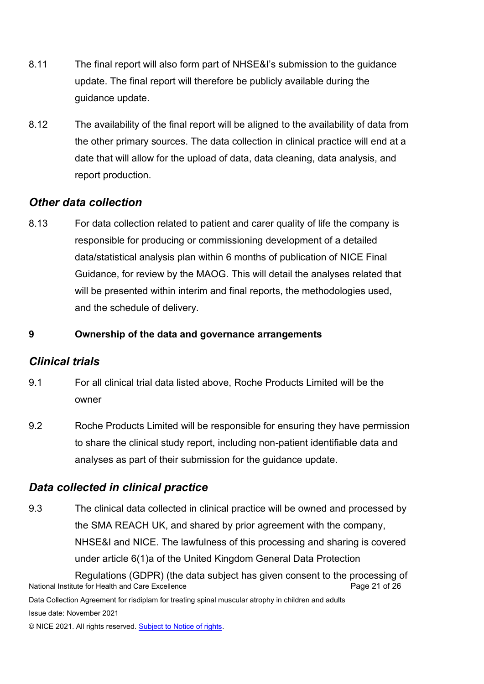- 8.11 The final report will also form part of NHSE&I's submission to the guidance update. The final report will therefore be publicly available during the guidance update.
- 8.12 The availability of the final report will be aligned to the availability of data from the other primary sources. The data collection in clinical practice will end at a date that will allow for the upload of data, data cleaning, data analysis, and report production.

# *Other data collection*

8.13 For data collection related to patient and carer quality of life the company is responsible for producing or commissioning development of a detailed data/statistical analysis plan within 6 months of publication of NICE Final Guidance, for review by the MAOG. This will detail the analyses related that will be presented within interim and final reports, the methodologies used, and the schedule of delivery.

### **9 Ownership of the data and governance arrangements**

# *Clinical trials*

- 9.1 For all clinical trial data listed above, Roche Products Limited will be the owner
- 9.2 Roche Products Limited will be responsible for ensuring they have permission to share the clinical study report, including non-patient identifiable data and analyses as part of their submission for the guidance update.

# *Data collected in clinical practice*

9.3 The clinical data collected in clinical practice will be owned and processed by the SMA REACH UK, and shared by prior agreement with the company, NHSE&I and NICE. The lawfulness of this processing and sharing is covered under article 6(1)a of the United Kingdom General Data Protection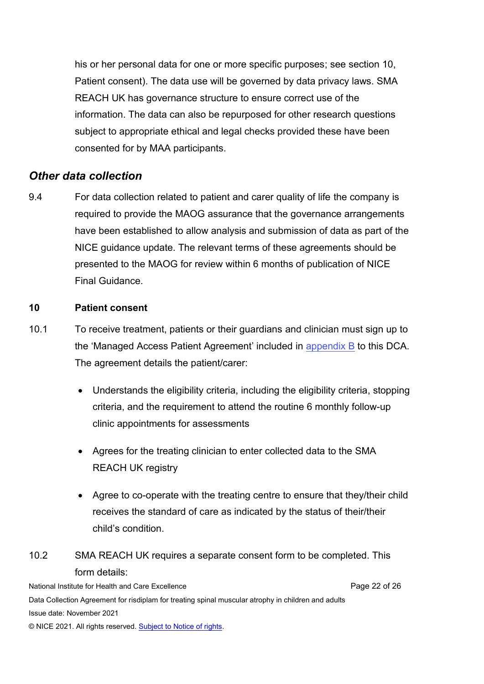his or her personal data for one or more specific purposes; see section 10, Patient consent). The data use will be governed by data privacy laws. SMA REACH UK has governance structure to ensure correct use of the information. The data can also be repurposed for other research questions subject to appropriate ethical and legal checks provided these have been consented for by MAA participants.

# *Other data collection*

9.4 For data collection related to patient and carer quality of life the company is required to provide the MAOG assurance that the governance arrangements have been established to allow analysis and submission of data as part of the NICE guidance update. The relevant terms of these agreements should be presented to the MAOG for review within 6 months of publication of NICE Final Guidance.

#### **10 Patient consent**

- 10.1 To receive treatment, patients or their guardians and clinician must sign up to the 'Managed Access Patient Agreement' included in a[ppendix B](https://www.nice.org.uk/guidance/ta755/resources/appendix-b-managed-access-patient-agreement-form-pdf-10897406895) to this DCA. The agreement details the patient/carer:
	- Understands the eligibility criteria, including the eligibility criteria, stopping criteria, and the requirement to attend the routine 6 monthly follow-up clinic appointments for assessments
	- Agrees for the treating clinician to enter collected data to the SMA REACH UK registry
	- Agree to co-operate with the treating centre to ensure that they/their child receives the standard of care as indicated by the status of their/their child's condition.

# 10.2 SMA REACH UK requires a separate consent form to be completed. This form details:

National Institute for Health and Care Excellence **Page 22 of 26** and 20 of 26 Data Collection Agreement for risdiplam for treating spinal muscular atrophy in children and adults Issue date: November 2021 © NICE 2021. All rights reserved[. Subject to Notice of rights.](https://www.nice.org.uk/terms-and-conditions#notice-of-rights)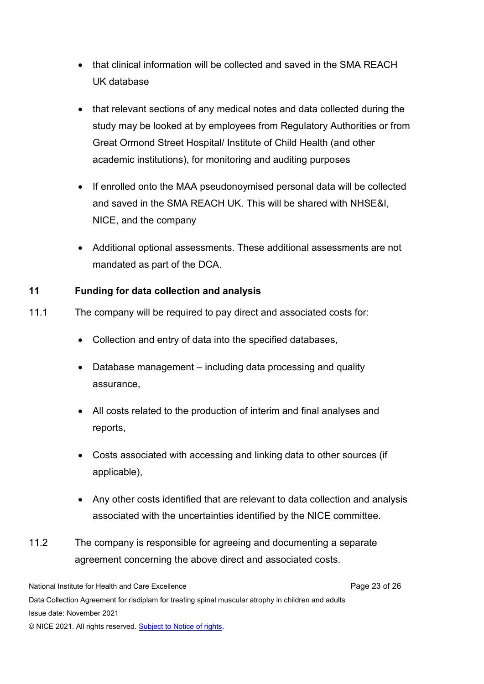- that clinical information will be collected and saved in the SMA REACH UK database
- that relevant sections of any medical notes and data collected during the study may be looked at by employees from Regulatory Authorities or from Great Ormond Street Hospital/ Institute of Child Health (and other academic institutions), for monitoring and auditing purposes
- If enrolled onto the MAA pseudonoymised personal data will be collected and saved in the SMA REACH UK. This will be shared with NHSE&I, NICE, and the company
- Additional optional assessments. These additional assessments are not mandated as part of the DCA.

### **11 Funding for data collection and analysis**

- 11.1 The company will be required to pay direct and associated costs for:
	- Collection and entry of data into the specified databases,
	- Database management including data processing and quality assurance,
	- All costs related to the production of interim and final analyses and reports,
	- Costs associated with accessing and linking data to other sources (if applicable),
	- Any other costs identified that are relevant to data collection and analysis associated with the uncertainties identified by the NICE committee.
- 11.2 The company is responsible for agreeing and documenting a separate agreement concerning the above direct and associated costs.

National Institute for Health and Care Excellence **Page 23** of 26 Data Collection Agreement for risdiplam for treating spinal muscular atrophy in children and adults Issue date: November 2021 © NICE 2021. All rights reserved[. Subject to Notice of rights.](https://www.nice.org.uk/terms-and-conditions#notice-of-rights)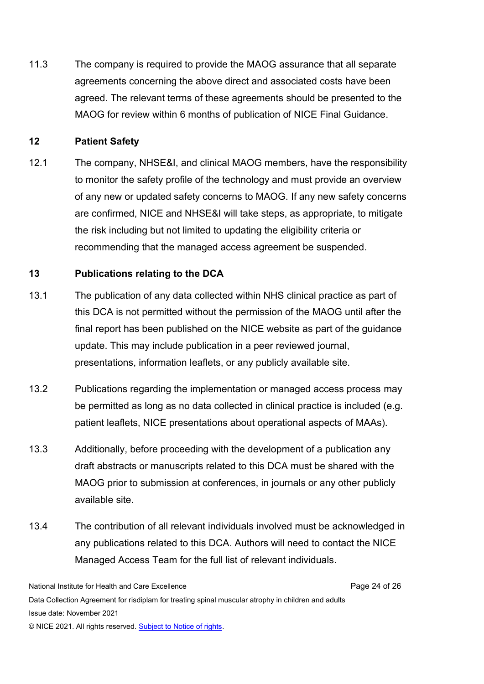11.3 The company is required to provide the MAOG assurance that all separate agreements concerning the above direct and associated costs have been agreed. The relevant terms of these agreements should be presented to the MAOG for review within 6 months of publication of NICE Final Guidance.

#### **12 Patient Safety**

12.1 The company, NHSE&I, and clinical MAOG members, have the responsibility to monitor the safety profile of the technology and must provide an overview of any new or updated safety concerns to MAOG. If any new safety concerns are confirmed, NICE and NHSE&I will take steps, as appropriate, to mitigate the risk including but not limited to updating the eligibility criteria or recommending that the managed access agreement be suspended.

#### **13 Publications relating to the DCA**

- 13.1 The publication of any data collected within NHS clinical practice as part of this DCA is not permitted without the permission of the MAOG until after the final report has been published on the NICE website as part of the guidance update. This may include publication in a peer reviewed journal, presentations, information leaflets, or any publicly available site.
- 13.2 Publications regarding the implementation or managed access process may be permitted as long as no data collected in clinical practice is included (e.g. patient leaflets, NICE presentations about operational aspects of MAAs).
- 13.3 Additionally, before proceeding with the development of a publication any draft abstracts or manuscripts related to this DCA must be shared with the MAOG prior to submission at conferences, in journals or any other publicly available site.
- 13.4 The contribution of all relevant individuals involved must be acknowledged in any publications related to this DCA. Authors will need to contact the NICE Managed Access Team for the full list of relevant individuals.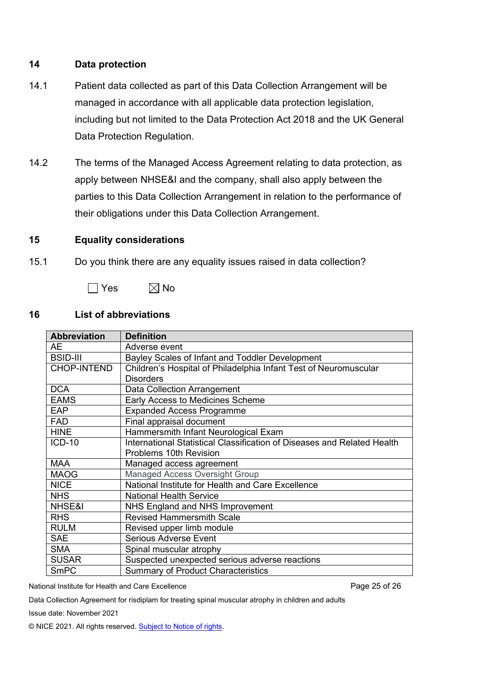#### **14 Data protection**

- 14.1 Patient data collected as part of this Data Collection Arrangement will be managed in accordance with all applicable data protection legislation, including but not limited to the Data Protection Act 2018 and the UK General Data Protection Regulation.
- 14.2 The terms of the Managed Access Agreement relating to data protection, as apply between NHSE&I and the company, shall also apply between the parties to this Data Collection Arrangement in relation to the performance of their obligations under this Data Collection Arrangement.

#### **15 Equality considerations**

15.1 Do you think there are any equality issues raised in data collection?



#### **16 List of abbreviations**

| <b>Abbreviation</b> | <b>Definition</b>                                                       |  |  |
|---------------------|-------------------------------------------------------------------------|--|--|
| AЕ                  | Adverse event                                                           |  |  |
| <b>BSID-III</b>     | Bayley Scales of Infant and Toddler Development                         |  |  |
| <b>CHOP-INTEND</b>  | Children's Hospital of Philadelphia Infant Test of Neuromuscular        |  |  |
|                     | <b>Disorders</b>                                                        |  |  |
| <b>DCA</b>          | Data Collection Arrangement                                             |  |  |
| <b>EAMS</b>         | Early Access to Medicines Scheme                                        |  |  |
| <b>EAP</b>          | <b>Expanded Access Programme</b>                                        |  |  |
| <b>FAD</b>          | Final appraisal document                                                |  |  |
| <b>HINE</b>         | Hammersmith Infant Neurological Exam                                    |  |  |
| <b>ICD-10</b>       | International Statistical Classification of Diseases and Related Health |  |  |
|                     | Problems 10th Revision                                                  |  |  |
| <b>MAA</b>          | Managed access agreement                                                |  |  |
| <b>MAOG</b>         | <b>Managed Access Oversight Group</b>                                   |  |  |
| <b>NICE</b>         | National Institute for Health and Care Excellence                       |  |  |
| <b>NHS</b>          | <b>National Health Service</b>                                          |  |  |
| NHSE&I              | NHS England and NHS Improvement                                         |  |  |
| <b>RHS</b>          | <b>Revised Hammersmith Scale</b>                                        |  |  |
| <b>RULM</b>         | Revised upper limb module                                               |  |  |
| <b>SAE</b>          | <b>Serious Adverse Event</b>                                            |  |  |
| <b>SMA</b>          | Spinal muscular atrophy                                                 |  |  |
| <b>SUSAR</b>        | Suspected unexpected serious adverse reactions                          |  |  |
| <b>SmPC</b>         | <b>Summary of Product Characteristics</b>                               |  |  |

National Institute for Health and Care Excellence **Page 26 of 26** and 25 of 26

Data Collection Agreement for risdiplam for treating spinal muscular atrophy in children and adults

Issue date: November 2021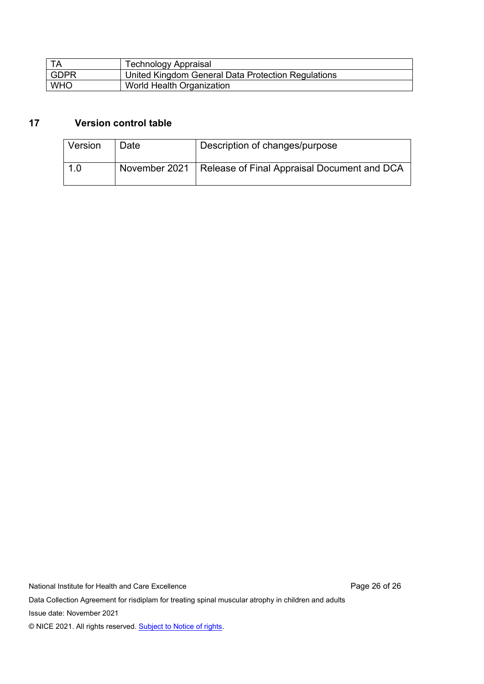| TA          | <b>Technology Appraisal</b>                        |
|-------------|----------------------------------------------------|
| <b>GDPR</b> | United Kingdom General Data Protection Regulations |
| <b>WHO</b>  | World Health Organization                          |

## **17 Version control table**

| <b>Version</b> | Date | Description of changes/purpose                              |
|----------------|------|-------------------------------------------------------------|
| 1.0            |      | November 2021   Release of Final Appraisal Document and DCA |